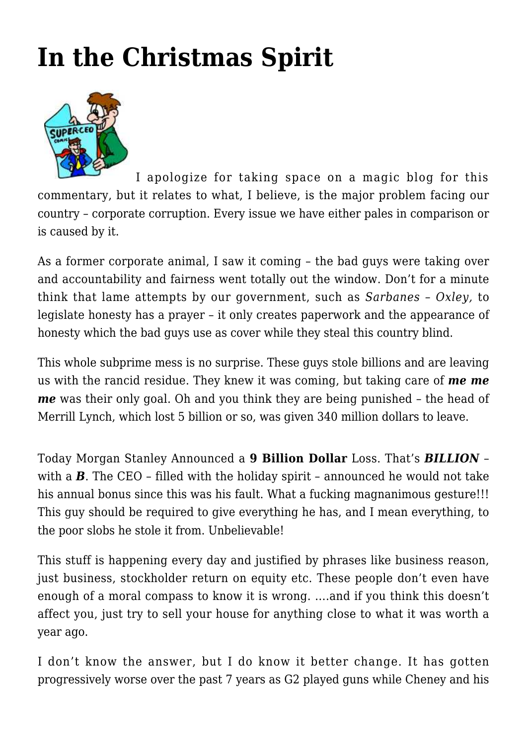## **[In the Christmas Spirit](https://intenselymagic.com/2007/12/19/in-the-christmas-spirit/)**



I apologize for taking space on a magic blog for this commentary, but it relates to what, I believe, is the major problem facing our country – corporate corruption. Every issue we have either pales in comparison or is caused by it.

As a former corporate animal, I saw it coming – the bad guys were taking over and accountability and fairness went totally out the window. Don't for a minute think that lame attempts by our government, such as *Sarbanes – Oxley,* to legislate honesty has a prayer – it only creates paperwork and the appearance of honesty which the bad guys use as cover while they steal this country blind.

This whole subprime mess is no surprise. These guys stole billions and are leaving us with the rancid residue. They knew it was coming, but taking care of *me me me* was their only goal. Oh and you think they are being punished – the head of Merrill Lynch, which lost 5 billion or so, was given 340 million dollars to leave.

Today [Morgan Stanley Announced](http://biz.yahoo.com/ap/071219/earns_morgan_stanley.html) a **9 Billion Dollar** Loss. That's *BILLION* – with a **B**. The CEO – filled with the holiday spirit – announced he would not take his annual bonus since this was his fault. What a fucking magnanimous gesture!!! This guy should be required to give everything he has, and I mean everything, to the poor slobs he stole it from. Unbelievable!

This stuff is happening every day and justified by phrases like business reason, just business, stockholder return on equity etc. These people don't even have enough of a moral compass to know it is wrong. ….and if you think this doesn't affect you, just try to sell your house for anything close to what it was worth a year ago.

I don't know the answer, but I do know it better change. It has gotten progressively worse over the past 7 years as G2 played guns while Cheney and his